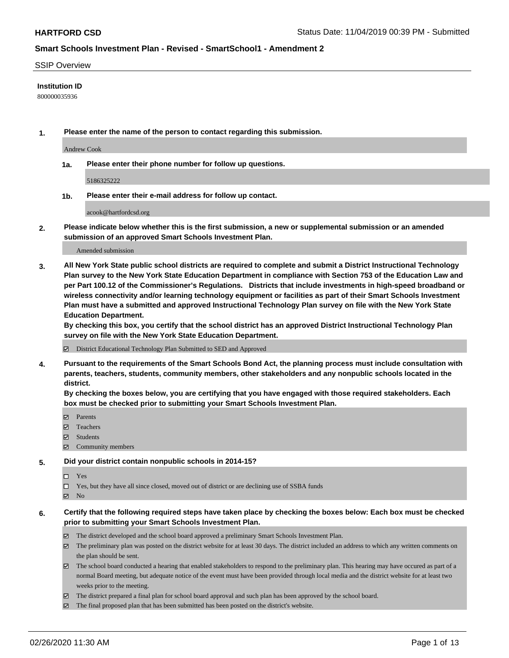### SSIP Overview

## **Institution ID**

800000035936

**1. Please enter the name of the person to contact regarding this submission.**

Andrew Cook

**1a. Please enter their phone number for follow up questions.**

5186325222

**1b. Please enter their e-mail address for follow up contact.**

acook@hartfordcsd.org

**2. Please indicate below whether this is the first submission, a new or supplemental submission or an amended submission of an approved Smart Schools Investment Plan.**

#### Amended submission

**3. All New York State public school districts are required to complete and submit a District Instructional Technology Plan survey to the New York State Education Department in compliance with Section 753 of the Education Law and per Part 100.12 of the Commissioner's Regulations. Districts that include investments in high-speed broadband or wireless connectivity and/or learning technology equipment or facilities as part of their Smart Schools Investment Plan must have a submitted and approved Instructional Technology Plan survey on file with the New York State Education Department.** 

**By checking this box, you certify that the school district has an approved District Instructional Technology Plan survey on file with the New York State Education Department.**

District Educational Technology Plan Submitted to SED and Approved

**4. Pursuant to the requirements of the Smart Schools Bond Act, the planning process must include consultation with parents, teachers, students, community members, other stakeholders and any nonpublic schools located in the district.** 

**By checking the boxes below, you are certifying that you have engaged with those required stakeholders. Each box must be checked prior to submitting your Smart Schools Investment Plan.**

- **マ** Parents
- Teachers
- Students
- Community members

#### **5. Did your district contain nonpublic schools in 2014-15?**

 $\neg$  Yes

Yes, but they have all since closed, moved out of district or are declining use of SSBA funds

**Z** No

## **6. Certify that the following required steps have taken place by checking the boxes below: Each box must be checked prior to submitting your Smart Schools Investment Plan.**

- The district developed and the school board approved a preliminary Smart Schools Investment Plan.
- $\boxtimes$  The preliminary plan was posted on the district website for at least 30 days. The district included an address to which any written comments on the plan should be sent.
- $\boxtimes$  The school board conducted a hearing that enabled stakeholders to respond to the preliminary plan. This hearing may have occured as part of a normal Board meeting, but adequate notice of the event must have been provided through local media and the district website for at least two weeks prior to the meeting.
- The district prepared a final plan for school board approval and such plan has been approved by the school board.
- $\boxtimes$  The final proposed plan that has been submitted has been posted on the district's website.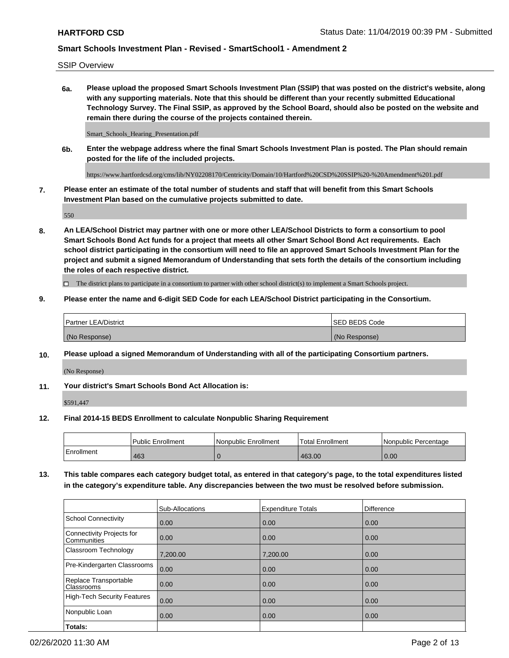SSIP Overview

**6a. Please upload the proposed Smart Schools Investment Plan (SSIP) that was posted on the district's website, along with any supporting materials. Note that this should be different than your recently submitted Educational Technology Survey. The Final SSIP, as approved by the School Board, should also be posted on the website and remain there during the course of the projects contained therein.**

Smart\_Schools\_Hearing\_Presentation.pdf

**6b. Enter the webpage address where the final Smart Schools Investment Plan is posted. The Plan should remain posted for the life of the included projects.**

https://www.hartfordcsd.org/cms/lib/NY02208170/Centricity/Domain/10/Hartford%20CSD%20SSIP%20-%20Amendment%201.pdf

**7. Please enter an estimate of the total number of students and staff that will benefit from this Smart Schools Investment Plan based on the cumulative projects submitted to date.**

550

**8. An LEA/School District may partner with one or more other LEA/School Districts to form a consortium to pool Smart Schools Bond Act funds for a project that meets all other Smart School Bond Act requirements. Each school district participating in the consortium will need to file an approved Smart Schools Investment Plan for the project and submit a signed Memorandum of Understanding that sets forth the details of the consortium including the roles of each respective district.**

 $\Box$  The district plans to participate in a consortium to partner with other school district(s) to implement a Smart Schools project.

## **9. Please enter the name and 6-digit SED Code for each LEA/School District participating in the Consortium.**

| Partner LEA/District | <b>ISED BEDS Code</b> |
|----------------------|-----------------------|
| (No Response)        | (No Response)         |

## **10. Please upload a signed Memorandum of Understanding with all of the participating Consortium partners.**

(No Response)

**11. Your district's Smart Schools Bond Act Allocation is:**

\$591,447

#### **12. Final 2014-15 BEDS Enrollment to calculate Nonpublic Sharing Requirement**

|            | Public Enrollment | Nonpublic Enrollment | Total Enrollment | l Nonpublic Percentage |
|------------|-------------------|----------------------|------------------|------------------------|
| Enrollment | 463               |                      | 463.00           | 0.00                   |

**13. This table compares each category budget total, as entered in that category's page, to the total expenditures listed in the category's expenditure table. Any discrepancies between the two must be resolved before submission.**

|                                          | Sub-Allocations | <b>Expenditure Totals</b> | <b>Difference</b> |
|------------------------------------------|-----------------|---------------------------|-------------------|
| <b>School Connectivity</b>               | 0.00            | 0.00                      | 0.00              |
| Connectivity Projects for<br>Communities | 0.00            | 0.00                      | 0.00              |
| Classroom Technology                     | 7,200.00        | 7,200.00                  | 0.00              |
| Pre-Kindergarten Classrooms              | 0.00            | 0.00                      | 0.00              |
| Replace Transportable<br>Classrooms      | 0.00            | 0.00                      | 0.00              |
| High-Tech Security Features              | 0.00            | 0.00                      | 0.00              |
| Nonpublic Loan                           | 0.00            | 0.00                      | 0.00              |
| Totals:                                  |                 |                           |                   |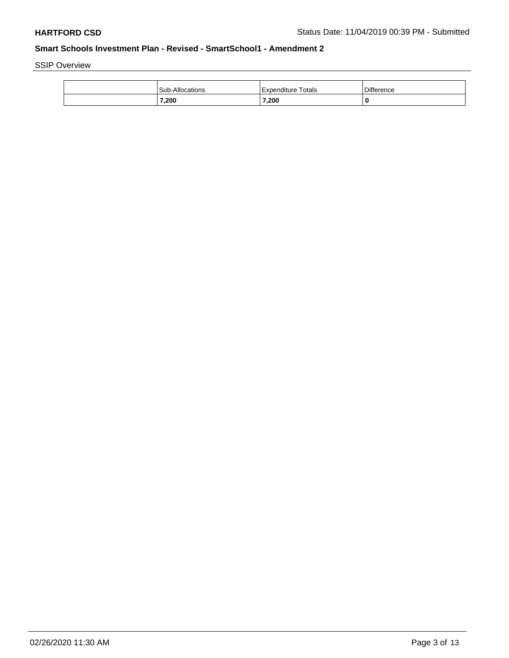SSIP Overview

| Sub-Allocations | Totals<br>Expenditure | <b>Difference</b> |
|-----------------|-----------------------|-------------------|
| 7,200           | 7,200                 |                   |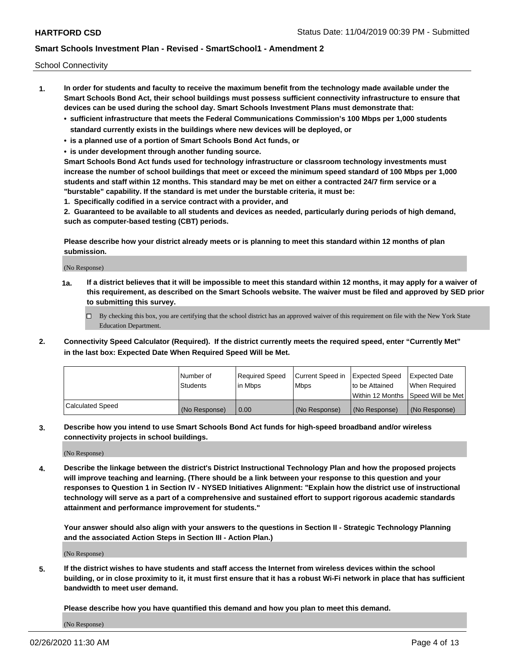School Connectivity

- **1. In order for students and faculty to receive the maximum benefit from the technology made available under the Smart Schools Bond Act, their school buildings must possess sufficient connectivity infrastructure to ensure that devices can be used during the school day. Smart Schools Investment Plans must demonstrate that:**
	- **• sufficient infrastructure that meets the Federal Communications Commission's 100 Mbps per 1,000 students standard currently exists in the buildings where new devices will be deployed, or**
	- **• is a planned use of a portion of Smart Schools Bond Act funds, or**
	- **• is under development through another funding source.**

**Smart Schools Bond Act funds used for technology infrastructure or classroom technology investments must increase the number of school buildings that meet or exceed the minimum speed standard of 100 Mbps per 1,000 students and staff within 12 months. This standard may be met on either a contracted 24/7 firm service or a "burstable" capability. If the standard is met under the burstable criteria, it must be:**

**1. Specifically codified in a service contract with a provider, and**

**2. Guaranteed to be available to all students and devices as needed, particularly during periods of high demand, such as computer-based testing (CBT) periods.**

**Please describe how your district already meets or is planning to meet this standard within 12 months of plan submission.**

(No Response)

**1a. If a district believes that it will be impossible to meet this standard within 12 months, it may apply for a waiver of this requirement, as described on the Smart Schools website. The waiver must be filed and approved by SED prior to submitting this survey.**

 $\Box$  By checking this box, you are certifying that the school district has an approved waiver of this requirement on file with the New York State Education Department.

**2. Connectivity Speed Calculator (Required). If the district currently meets the required speed, enter "Currently Met" in the last box: Expected Date When Required Speed Will be Met.**

|                  | l Number of     | Required Speed | Current Speed in | Expected Speed | Expected Date                           |
|------------------|-----------------|----------------|------------------|----------------|-----------------------------------------|
|                  | <b>Students</b> | In Mbps        | l Mbps           | to be Attained | When Required                           |
|                  |                 |                |                  |                | l Within 12 Months ISpeed Will be Met l |
| Calculated Speed | (No Response)   | 0.00           | (No Response)    | (No Response)  | (No Response)                           |

**3. Describe how you intend to use Smart Schools Bond Act funds for high-speed broadband and/or wireless connectivity projects in school buildings.**

(No Response)

**4. Describe the linkage between the district's District Instructional Technology Plan and how the proposed projects will improve teaching and learning. (There should be a link between your response to this question and your responses to Question 1 in Section IV - NYSED Initiatives Alignment: "Explain how the district use of instructional technology will serve as a part of a comprehensive and sustained effort to support rigorous academic standards attainment and performance improvement for students."** 

**Your answer should also align with your answers to the questions in Section II - Strategic Technology Planning and the associated Action Steps in Section III - Action Plan.)**

(No Response)

**5. If the district wishes to have students and staff access the Internet from wireless devices within the school building, or in close proximity to it, it must first ensure that it has a robust Wi-Fi network in place that has sufficient bandwidth to meet user demand.**

**Please describe how you have quantified this demand and how you plan to meet this demand.**

(No Response)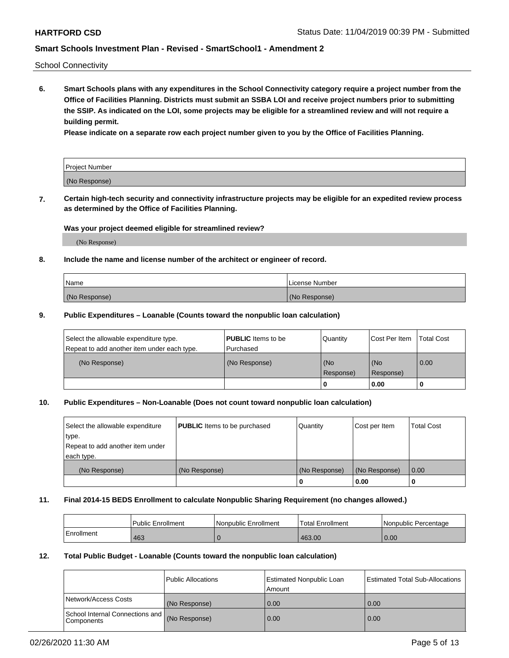School Connectivity

**6. Smart Schools plans with any expenditures in the School Connectivity category require a project number from the Office of Facilities Planning. Districts must submit an SSBA LOI and receive project numbers prior to submitting the SSIP. As indicated on the LOI, some projects may be eligible for a streamlined review and will not require a building permit.**

**Please indicate on a separate row each project number given to you by the Office of Facilities Planning.**

| Project Number |  |
|----------------|--|
| (No Response)  |  |

**7. Certain high-tech security and connectivity infrastructure projects may be eligible for an expedited review process as determined by the Office of Facilities Planning.**

### **Was your project deemed eligible for streamlined review?**

(No Response)

## **8. Include the name and license number of the architect or engineer of record.**

| Name          | License Number |
|---------------|----------------|
| (No Response) | (No Response)  |

### **9. Public Expenditures – Loanable (Counts toward the nonpublic loan calculation)**

| Select the allowable expenditure type.<br>Repeat to add another item under each type. | <b>PUBLIC</b> Items to be<br>l Purchased | Quantity           | Cost Per Item    | <b>Total Cost</b> |
|---------------------------------------------------------------------------------------|------------------------------------------|--------------------|------------------|-------------------|
| (No Response)                                                                         | (No Response)                            | l (No<br>Response) | (No<br>Response) | $\overline{0.00}$ |
|                                                                                       |                                          | 0                  | 0.00             |                   |

## **10. Public Expenditures – Non-Loanable (Does not count toward nonpublic loan calculation)**

| Select the allowable expenditure | <b>PUBLIC</b> Items to be purchased | Quantity      | Cost per Item | <b>Total Cost</b> |
|----------------------------------|-------------------------------------|---------------|---------------|-------------------|
| type.                            |                                     |               |               |                   |
| Repeat to add another item under |                                     |               |               |                   |
| each type.                       |                                     |               |               |                   |
| (No Response)                    | (No Response)                       | (No Response) | (No Response) | 0.00              |
|                                  |                                     | U             | 0.00          |                   |

#### **11. Final 2014-15 BEDS Enrollment to calculate Nonpublic Sharing Requirement (no changes allowed.)**

|            | l Public Enrollment | Nonpublic Enrollment | <b>Total Enrollment</b> | l Nonpublic Percentage |
|------------|---------------------|----------------------|-------------------------|------------------------|
| Enrollment | 463                 |                      | 463.00                  | 0.00                   |

## **12. Total Public Budget - Loanable (Counts toward the nonpublic loan calculation)**

|                                                      | Public Allocations | <b>Estimated Nonpublic Loan</b><br>Amount | Estimated Total Sub-Allocations |
|------------------------------------------------------|--------------------|-------------------------------------------|---------------------------------|
| Network/Access Costs                                 | (No Response)      | 0.00                                      | 0.00                            |
| School Internal Connections and<br><b>Components</b> | (No Response)      | 0.00                                      | 0.00                            |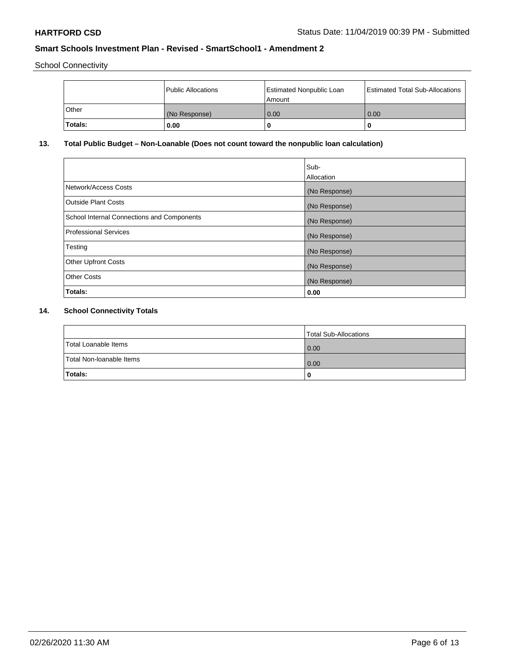School Connectivity

|         | Public Allocations | <b>Estimated Nonpublic Loan</b><br>l Amount | <b>Estimated Total Sub-Allocations</b> |
|---------|--------------------|---------------------------------------------|----------------------------------------|
| l Other | (No Response)      | 0.00                                        | 0.00                                   |
| Totals: | 0.00               | 0                                           |                                        |

# **13. Total Public Budget – Non-Loanable (Does not count toward the nonpublic loan calculation)**

| Sub-<br>Allocation |
|--------------------|
| (No Response)      |
| (No Response)      |
| (No Response)      |
| (No Response)      |
| (No Response)      |
| (No Response)      |
| (No Response)      |
| 0.00               |
|                    |

# **14. School Connectivity Totals**

|                          | Total Sub-Allocations |
|--------------------------|-----------------------|
| Total Loanable Items     | 0.00                  |
| Total Non-Ioanable Items | 0.00                  |
| Totals:                  | 0                     |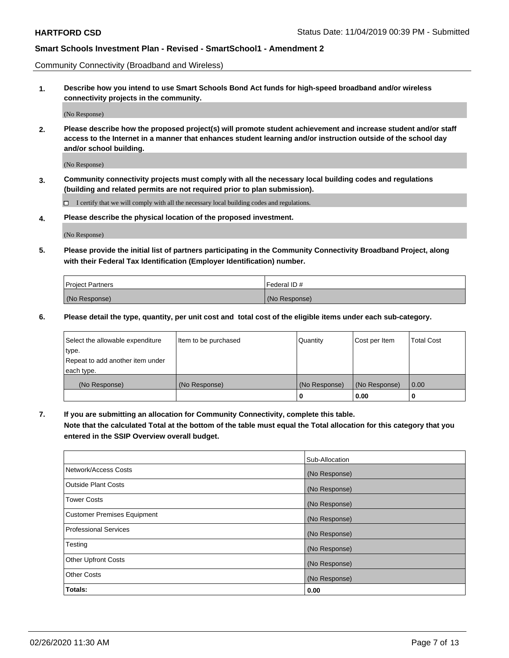Community Connectivity (Broadband and Wireless)

**1. Describe how you intend to use Smart Schools Bond Act funds for high-speed broadband and/or wireless connectivity projects in the community.**

(No Response)

**2. Please describe how the proposed project(s) will promote student achievement and increase student and/or staff access to the Internet in a manner that enhances student learning and/or instruction outside of the school day and/or school building.**

(No Response)

**3. Community connectivity projects must comply with all the necessary local building codes and regulations (building and related permits are not required prior to plan submission).**

 $\Box$  I certify that we will comply with all the necessary local building codes and regulations.

**4. Please describe the physical location of the proposed investment.**

(No Response)

**5. Please provide the initial list of partners participating in the Community Connectivity Broadband Project, along with their Federal Tax Identification (Employer Identification) number.**

| <b>Project Partners</b> | l Federal ID # |
|-------------------------|----------------|
| (No Response)           | (No Response)  |

**6. Please detail the type, quantity, per unit cost and total cost of the eligible items under each sub-category.**

| Select the allowable expenditure | Item to be purchased | Quantity      | Cost per Item | <b>Total Cost</b> |
|----------------------------------|----------------------|---------------|---------------|-------------------|
| type.                            |                      |               |               |                   |
| Repeat to add another item under |                      |               |               |                   |
| each type.                       |                      |               |               |                   |
| (No Response)                    | (No Response)        | (No Response) | (No Response) | 0.00              |
|                                  |                      | o             | 0.00          |                   |

**7. If you are submitting an allocation for Community Connectivity, complete this table.**

**Note that the calculated Total at the bottom of the table must equal the Total allocation for this category that you entered in the SSIP Overview overall budget.**

|                                    | Sub-Allocation |
|------------------------------------|----------------|
| Network/Access Costs               | (No Response)  |
| Outside Plant Costs                | (No Response)  |
| <b>Tower Costs</b>                 | (No Response)  |
| <b>Customer Premises Equipment</b> | (No Response)  |
| <b>Professional Services</b>       | (No Response)  |
| Testing                            | (No Response)  |
| <b>Other Upfront Costs</b>         | (No Response)  |
| <b>Other Costs</b>                 | (No Response)  |
| Totals:                            | 0.00           |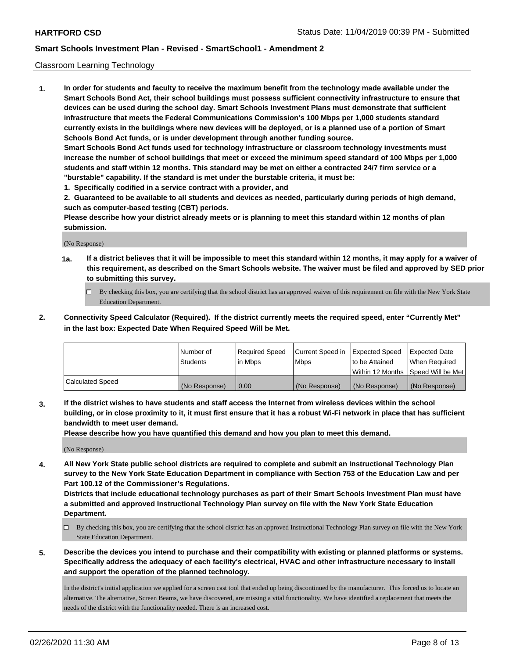### Classroom Learning Technology

**1. In order for students and faculty to receive the maximum benefit from the technology made available under the Smart Schools Bond Act, their school buildings must possess sufficient connectivity infrastructure to ensure that devices can be used during the school day. Smart Schools Investment Plans must demonstrate that sufficient infrastructure that meets the Federal Communications Commission's 100 Mbps per 1,000 students standard currently exists in the buildings where new devices will be deployed, or is a planned use of a portion of Smart Schools Bond Act funds, or is under development through another funding source. Smart Schools Bond Act funds used for technology infrastructure or classroom technology investments must increase the number of school buildings that meet or exceed the minimum speed standard of 100 Mbps per 1,000 students and staff within 12 months. This standard may be met on either a contracted 24/7 firm service or a "burstable" capability. If the standard is met under the burstable criteria, it must be:**

**1. Specifically codified in a service contract with a provider, and**

**2. Guaranteed to be available to all students and devices as needed, particularly during periods of high demand, such as computer-based testing (CBT) periods.**

**Please describe how your district already meets or is planning to meet this standard within 12 months of plan submission.**

(No Response)

- **1a. If a district believes that it will be impossible to meet this standard within 12 months, it may apply for a waiver of this requirement, as described on the Smart Schools website. The waiver must be filed and approved by SED prior to submitting this survey.**
	- By checking this box, you are certifying that the school district has an approved waiver of this requirement on file with the New York State Education Department.
- **2. Connectivity Speed Calculator (Required). If the district currently meets the required speed, enter "Currently Met" in the last box: Expected Date When Required Speed Will be Met.**

|                  | l Number of     | Required Speed | Current Speed in | <b>Expected Speed</b> | <b>Expected Date</b>                |
|------------------|-----------------|----------------|------------------|-----------------------|-------------------------------------|
|                  | <b>Students</b> | l in Mbps      | l Mbps           | to be Attained        | When Required                       |
|                  |                 |                |                  |                       | Within 12 Months  Speed Will be Met |
| Calculated Speed | (No Response)   | 0.00           | (No Response)    | l (No Response)       | (No Response)                       |

**3. If the district wishes to have students and staff access the Internet from wireless devices within the school building, or in close proximity to it, it must first ensure that it has a robust Wi-Fi network in place that has sufficient bandwidth to meet user demand.**

**Please describe how you have quantified this demand and how you plan to meet this demand.**

(No Response)

**4. All New York State public school districts are required to complete and submit an Instructional Technology Plan survey to the New York State Education Department in compliance with Section 753 of the Education Law and per Part 100.12 of the Commissioner's Regulations.**

**Districts that include educational technology purchases as part of their Smart Schools Investment Plan must have a submitted and approved Instructional Technology Plan survey on file with the New York State Education Department.**

- By checking this box, you are certifying that the school district has an approved Instructional Technology Plan survey on file with the New York State Education Department.
- **5. Describe the devices you intend to purchase and their compatibility with existing or planned platforms or systems. Specifically address the adequacy of each facility's electrical, HVAC and other infrastructure necessary to install and support the operation of the planned technology.**

In the district's initial application we applied for a screen cast tool that ended up being discontinued by the manufacturer. This forced us to locate an alternative. The alternative, Screen Beams, we have discovered, are missing a vital functionality. We have identified a replacement that meets the needs of the district with the functionality needed. There is an increased cost.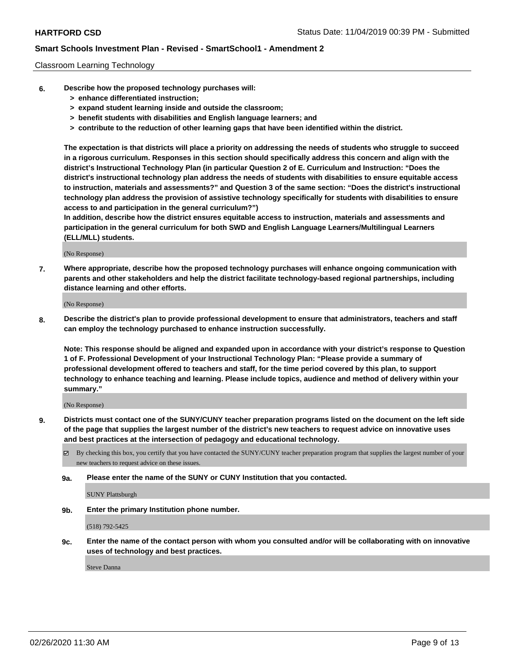### Classroom Learning Technology

- **6. Describe how the proposed technology purchases will:**
	- **> enhance differentiated instruction;**
	- **> expand student learning inside and outside the classroom;**
	- **> benefit students with disabilities and English language learners; and**
	- **> contribute to the reduction of other learning gaps that have been identified within the district.**

**The expectation is that districts will place a priority on addressing the needs of students who struggle to succeed in a rigorous curriculum. Responses in this section should specifically address this concern and align with the district's Instructional Technology Plan (in particular Question 2 of E. Curriculum and Instruction: "Does the district's instructional technology plan address the needs of students with disabilities to ensure equitable access to instruction, materials and assessments?" and Question 3 of the same section: "Does the district's instructional technology plan address the provision of assistive technology specifically for students with disabilities to ensure access to and participation in the general curriculum?")**

**In addition, describe how the district ensures equitable access to instruction, materials and assessments and participation in the general curriculum for both SWD and English Language Learners/Multilingual Learners (ELL/MLL) students.**

(No Response)

**7. Where appropriate, describe how the proposed technology purchases will enhance ongoing communication with parents and other stakeholders and help the district facilitate technology-based regional partnerships, including distance learning and other efforts.**

(No Response)

**8. Describe the district's plan to provide professional development to ensure that administrators, teachers and staff can employ the technology purchased to enhance instruction successfully.**

**Note: This response should be aligned and expanded upon in accordance with your district's response to Question 1 of F. Professional Development of your Instructional Technology Plan: "Please provide a summary of professional development offered to teachers and staff, for the time period covered by this plan, to support technology to enhance teaching and learning. Please include topics, audience and method of delivery within your summary."**

(No Response)

- **9. Districts must contact one of the SUNY/CUNY teacher preparation programs listed on the document on the left side of the page that supplies the largest number of the district's new teachers to request advice on innovative uses and best practices at the intersection of pedagogy and educational technology.**
	- By checking this box, you certify that you have contacted the SUNY/CUNY teacher preparation program that supplies the largest number of your new teachers to request advice on these issues.
	- **9a. Please enter the name of the SUNY or CUNY Institution that you contacted.**

SUNY Plattsburgh

**9b. Enter the primary Institution phone number.**

(518) 792-5425

**9c. Enter the name of the contact person with whom you consulted and/or will be collaborating with on innovative uses of technology and best practices.**

Steve Danna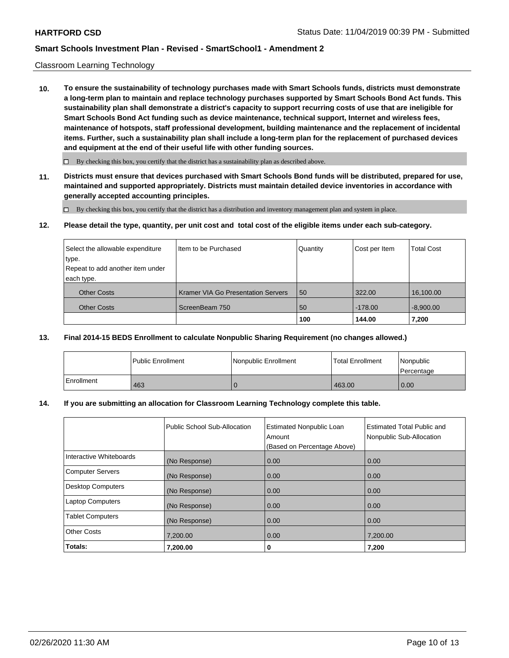## Classroom Learning Technology

**10. To ensure the sustainability of technology purchases made with Smart Schools funds, districts must demonstrate a long-term plan to maintain and replace technology purchases supported by Smart Schools Bond Act funds. This sustainability plan shall demonstrate a district's capacity to support recurring costs of use that are ineligible for Smart Schools Bond Act funding such as device maintenance, technical support, Internet and wireless fees, maintenance of hotspots, staff professional development, building maintenance and the replacement of incidental items. Further, such a sustainability plan shall include a long-term plan for the replacement of purchased devices and equipment at the end of their useful life with other funding sources.**

 $\Box$  By checking this box, you certify that the district has a sustainability plan as described above.

**11. Districts must ensure that devices purchased with Smart Schools Bond funds will be distributed, prepared for use, maintained and supported appropriately. Districts must maintain detailed device inventories in accordance with generally accepted accounting principles.**

By checking this box, you certify that the district has a distribution and inventory management plan and system in place.

**12. Please detail the type, quantity, per unit cost and total cost of the eligible items under each sub-category.**

| Select the allowable expenditure | Item to be Purchased                      | Quantity | Cost per Item | <b>Total Cost</b> |
|----------------------------------|-------------------------------------------|----------|---------------|-------------------|
| type.                            |                                           |          |               |                   |
| Repeat to add another item under |                                           |          |               |                   |
| each type.                       |                                           |          |               |                   |
| <b>Other Costs</b>               | <b>Kramer VIA Go Presentation Servers</b> | 50       | 322.00        | 16,100.00         |
| <b>Other Costs</b>               | ScreenBeam 750                            | 50       | $-178.00$     | $-8,900.00$       |
|                                  |                                           | 100      | 144.00        | 7,200             |

### **13. Final 2014-15 BEDS Enrollment to calculate Nonpublic Sharing Requirement (no changes allowed.)**

|              | <b>Public Enrollment</b> | l Nonpublic Enrollment | <b>Total Enrollment</b> | Nonpublic<br>Percentage |
|--------------|--------------------------|------------------------|-------------------------|-------------------------|
| l Enrollment | 463                      |                        | 463.00                  | 0.00                    |

### **14. If you are submitting an allocation for Classroom Learning Technology complete this table.**

|                          | Public School Sub-Allocation | <b>Estimated Nonpublic Loan</b><br>Amount<br>(Based on Percentage Above) | <b>Estimated Total Public and</b><br>Nonpublic Sub-Allocation |
|--------------------------|------------------------------|--------------------------------------------------------------------------|---------------------------------------------------------------|
| Interactive Whiteboards  | (No Response)                | 0.00                                                                     | 0.00                                                          |
| <b>Computer Servers</b>  | (No Response)                | 0.00                                                                     | 0.00                                                          |
| <b>Desktop Computers</b> | (No Response)                | 0.00                                                                     | 0.00                                                          |
| <b>Laptop Computers</b>  | (No Response)                | 0.00                                                                     | 0.00                                                          |
| <b>Tablet Computers</b>  | (No Response)                | 0.00                                                                     | 0.00                                                          |
| <b>Other Costs</b>       | 7,200.00                     | 0.00                                                                     | 7,200.00                                                      |
| Totals:                  | 7,200.00                     | 0                                                                        | 7,200                                                         |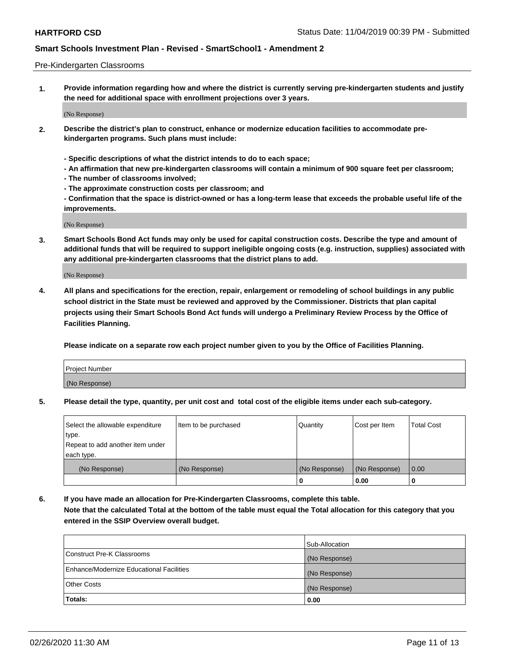### Pre-Kindergarten Classrooms

**1. Provide information regarding how and where the district is currently serving pre-kindergarten students and justify the need for additional space with enrollment projections over 3 years.**

(No Response)

- **2. Describe the district's plan to construct, enhance or modernize education facilities to accommodate prekindergarten programs. Such plans must include:**
	- **Specific descriptions of what the district intends to do to each space;**
	- **An affirmation that new pre-kindergarten classrooms will contain a minimum of 900 square feet per classroom;**
	- **The number of classrooms involved;**
	- **The approximate construction costs per classroom; and**
	- **Confirmation that the space is district-owned or has a long-term lease that exceeds the probable useful life of the improvements.**

(No Response)

**3. Smart Schools Bond Act funds may only be used for capital construction costs. Describe the type and amount of additional funds that will be required to support ineligible ongoing costs (e.g. instruction, supplies) associated with any additional pre-kindergarten classrooms that the district plans to add.**

(No Response)

**4. All plans and specifications for the erection, repair, enlargement or remodeling of school buildings in any public school district in the State must be reviewed and approved by the Commissioner. Districts that plan capital projects using their Smart Schools Bond Act funds will undergo a Preliminary Review Process by the Office of Facilities Planning.**

**Please indicate on a separate row each project number given to you by the Office of Facilities Planning.**

| Project Number |  |
|----------------|--|
| (No Response)  |  |
|                |  |

**5. Please detail the type, quantity, per unit cost and total cost of the eligible items under each sub-category.**

| Select the allowable expenditure | Item to be purchased | Quantity      | Cost per Item | <b>Total Cost</b> |
|----------------------------------|----------------------|---------------|---------------|-------------------|
| type.                            |                      |               |               |                   |
| Repeat to add another item under |                      |               |               |                   |
| each type.                       |                      |               |               |                   |
| (No Response)                    | (No Response)        | (No Response) | (No Response) | 0.00              |
|                                  |                      | U             | 0.00          |                   |

**6. If you have made an allocation for Pre-Kindergarten Classrooms, complete this table. Note that the calculated Total at the bottom of the table must equal the Total allocation for this category that you entered in the SSIP Overview overall budget.**

|                                          | Sub-Allocation |
|------------------------------------------|----------------|
| Construct Pre-K Classrooms               | (No Response)  |
| Enhance/Modernize Educational Facilities | (No Response)  |
| <b>Other Costs</b>                       | (No Response)  |
| Totals:                                  | 0.00           |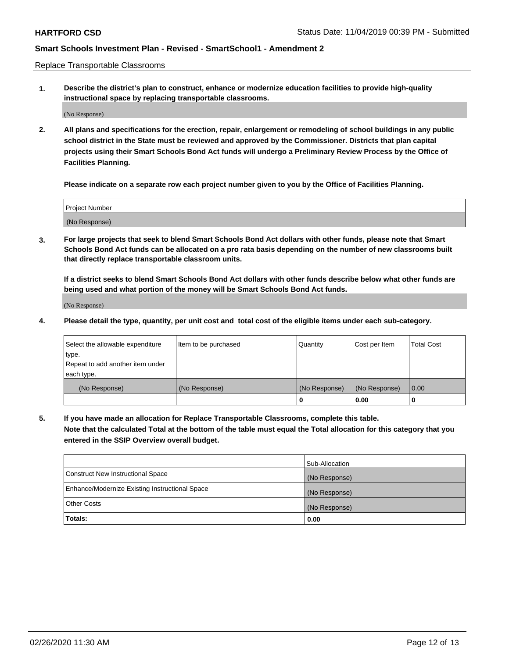Replace Transportable Classrooms

**1. Describe the district's plan to construct, enhance or modernize education facilities to provide high-quality instructional space by replacing transportable classrooms.**

(No Response)

**2. All plans and specifications for the erection, repair, enlargement or remodeling of school buildings in any public school district in the State must be reviewed and approved by the Commissioner. Districts that plan capital projects using their Smart Schools Bond Act funds will undergo a Preliminary Review Process by the Office of Facilities Planning.**

**Please indicate on a separate row each project number given to you by the Office of Facilities Planning.**

| Project Number |  |
|----------------|--|
|                |  |
|                |  |
|                |  |
| (No Response)  |  |
|                |  |
|                |  |

**3. For large projects that seek to blend Smart Schools Bond Act dollars with other funds, please note that Smart Schools Bond Act funds can be allocated on a pro rata basis depending on the number of new classrooms built that directly replace transportable classroom units.**

**If a district seeks to blend Smart Schools Bond Act dollars with other funds describe below what other funds are being used and what portion of the money will be Smart Schools Bond Act funds.**

(No Response)

**4. Please detail the type, quantity, per unit cost and total cost of the eligible items under each sub-category.**

| Select the allowable expenditure | Item to be purchased | Quantity      | Cost per Item | Total Cost |
|----------------------------------|----------------------|---------------|---------------|------------|
| ∣type.                           |                      |               |               |            |
| Repeat to add another item under |                      |               |               |            |
| each type.                       |                      |               |               |            |
| (No Response)                    | (No Response)        | (No Response) | (No Response) | 0.00       |
|                                  |                      | u             | 0.00          |            |

**5. If you have made an allocation for Replace Transportable Classrooms, complete this table. Note that the calculated Total at the bottom of the table must equal the Total allocation for this category that you entered in the SSIP Overview overall budget.**

|                                                | Sub-Allocation |
|------------------------------------------------|----------------|
| Construct New Instructional Space              | (No Response)  |
| Enhance/Modernize Existing Instructional Space | (No Response)  |
| Other Costs                                    | (No Response)  |
| Totals:                                        | 0.00           |